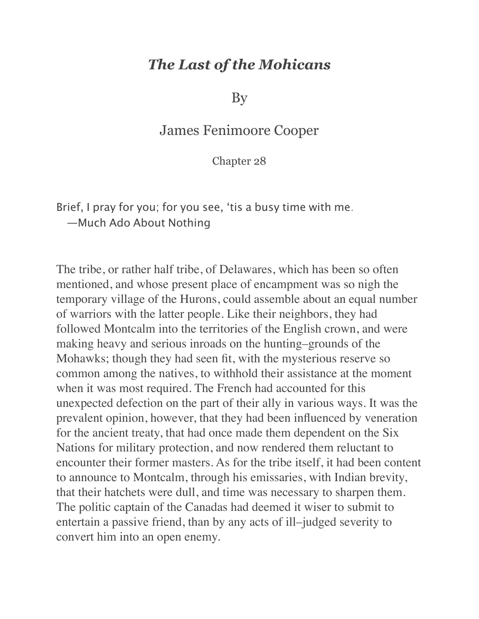## *The Last of the Mohicans*

By

## James Fenimoore Cooper

Chapter 28

Brief, I pray for you; for you see, 'tis a busy time with me. —Much Ado About Nothing

The tribe, or rather half tribe, of Delawares, which has been so often mentioned, and whose present place of encampment was so nigh the temporary village of the Hurons, could assemble about an equal number of warriors with the latter people. Like their neighbors, they had followed Montcalm into the territories of the English crown, and were making heavy and serious inroads on the hunting–grounds of the Mohawks; though they had seen fit, with the mysterious reserve so common among the natives, to withhold their assistance at the moment when it was most required. The French had accounted for this unexpected defection on the part of their ally in various ways. It was the prevalent opinion, however, that they had been influenced by veneration for the ancient treaty, that had once made them dependent on the Six Nations for military protection, and now rendered them reluctant to encounter their former masters. As for the tribe itself, it had been content to announce to Montcalm, through his emissaries, with Indian brevity, that their hatchets were dull, and time was necessary to sharpen them. The politic captain of the Canadas had deemed it wiser to submit to entertain a passive friend, than by any acts of ill–judged severity to convert him into an open enemy.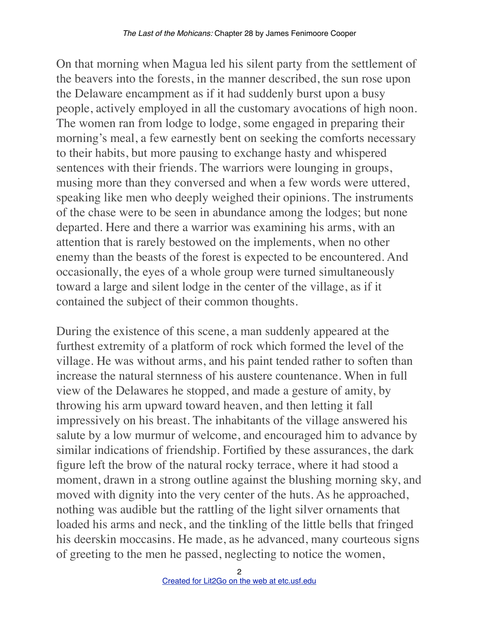On that morning when Magua led his silent party from the settlement of the beavers into the forests, in the manner described, the sun rose upon the Delaware encampment as if it had suddenly burst upon a busy people, actively employed in all the customary avocations of high noon. The women ran from lodge to lodge, some engaged in preparing their morning's meal, a few earnestly bent on seeking the comforts necessary to their habits, but more pausing to exchange hasty and whispered sentences with their friends. The warriors were lounging in groups, musing more than they conversed and when a few words were uttered, speaking like men who deeply weighed their opinions. The instruments of the chase were to be seen in abundance among the lodges; but none departed. Here and there a warrior was examining his arms, with an attention that is rarely bestowed on the implements, when no other enemy than the beasts of the forest is expected to be encountered. And occasionally, the eyes of a whole group were turned simultaneously toward a large and silent lodge in the center of the village, as if it contained the subject of their common thoughts.

During the existence of this scene, a man suddenly appeared at the furthest extremity of a platform of rock which formed the level of the village. He was without arms, and his paint tended rather to soften than increase the natural sternness of his austere countenance. When in full view of the Delawares he stopped, and made a gesture of amity, by throwing his arm upward toward heaven, and then letting it fall impressively on his breast. The inhabitants of the village answered his salute by a low murmur of welcome, and encouraged him to advance by similar indications of friendship. Fortified by these assurances, the dark figure left the brow of the natural rocky terrace, where it had stood a moment, drawn in a strong outline against the blushing morning sky, and moved with dignity into the very center of the huts. As he approached, nothing was audible but the rattling of the light silver ornaments that loaded his arms and neck, and the tinkling of the little bells that fringed his deerskin moccasins. He made, as he advanced, many courteous signs of greeting to the men he passed, neglecting to notice the women,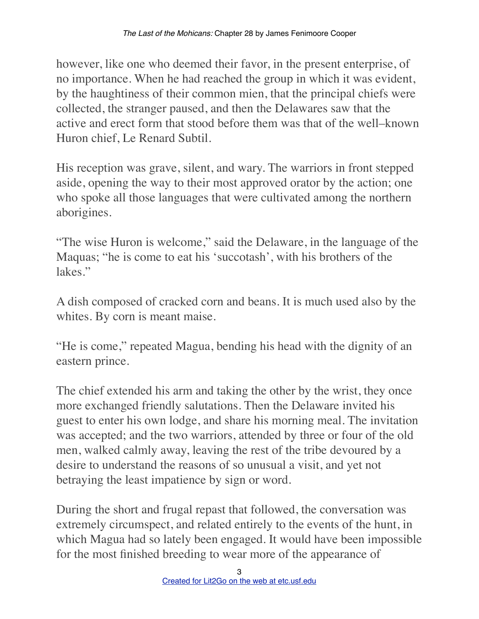however, like one who deemed their favor, in the present enterprise, of no importance. When he had reached the group in which it was evident, by the haughtiness of their common mien, that the principal chiefs were collected, the stranger paused, and then the Delawares saw that the active and erect form that stood before them was that of the well–known Huron chief, Le Renard Subtil.

His reception was grave, silent, and wary. The warriors in front stepped aside, opening the way to their most approved orator by the action; one who spoke all those languages that were cultivated among the northern aborigines.

"The wise Huron is welcome," said the Delaware, in the language of the Maquas; "he is come to eat his 'succotash', with his brothers of the lakes."

A dish composed of cracked corn and beans. It is much used also by the whites. By corn is meant maise.

"He is come," repeated Magua, bending his head with the dignity of an eastern prince.

The chief extended his arm and taking the other by the wrist, they once more exchanged friendly salutations. Then the Delaware invited his guest to enter his own lodge, and share his morning meal. The invitation was accepted; and the two warriors, attended by three or four of the old men, walked calmly away, leaving the rest of the tribe devoured by a desire to understand the reasons of so unusual a visit, and yet not betraying the least impatience by sign or word.

During the short and frugal repast that followed, the conversation was extremely circumspect, and related entirely to the events of the hunt, in which Magua had so lately been engaged. It would have been impossible for the most finished breeding to wear more of the appearance of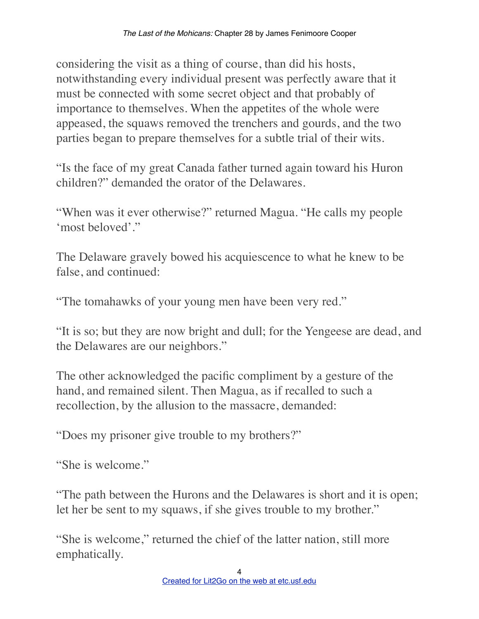considering the visit as a thing of course, than did his hosts, notwithstanding every individual present was perfectly aware that it must be connected with some secret object and that probably of importance to themselves. When the appetites of the whole were appeased, the squaws removed the trenchers and gourds, and the two parties began to prepare themselves for a subtle trial of their wits.

"Is the face of my great Canada father turned again toward his Huron children?" demanded the orator of the Delawares.

"When was it ever otherwise?" returned Magua. "He calls my people 'most beloved'."

The Delaware gravely bowed his acquiescence to what he knew to be false, and continued:

"The tomahawks of your young men have been very red."

"It is so; but they are now bright and dull; for the Yengeese are dead, and the Delawares are our neighbors."

The other acknowledged the pacific compliment by a gesture of the hand, and remained silent. Then Magua, as if recalled to such a recollection, by the allusion to the massacre, demanded:

"Does my prisoner give trouble to my brothers?"

"She is welcome."

"The path between the Hurons and the Delawares is short and it is open; let her be sent to my squaws, if she gives trouble to my brother."

"She is welcome," returned the chief of the latter nation, still more emphatically.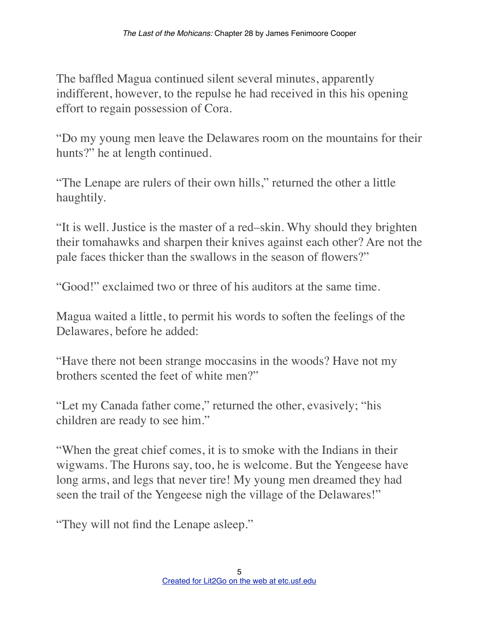The baffled Magua continued silent several minutes, apparently indifferent, however, to the repulse he had received in this his opening effort to regain possession of Cora.

"Do my young men leave the Delawares room on the mountains for their hunts?" he at length continued.

"The Lenape are rulers of their own hills," returned the other a little haughtily.

"It is well. Justice is the master of a red–skin. Why should they brighten their tomahawks and sharpen their knives against each other? Are not the pale faces thicker than the swallows in the season of flowers?"

"Good!" exclaimed two or three of his auditors at the same time.

Magua waited a little, to permit his words to soften the feelings of the Delawares, before he added:

"Have there not been strange moccasins in the woods? Have not my brothers scented the feet of white men?"

"Let my Canada father come," returned the other, evasively; "his children are ready to see him."

"When the great chief comes, it is to smoke with the Indians in their wigwams. The Hurons say, too, he is welcome. But the Yengeese have long arms, and legs that never tire! My young men dreamed they had seen the trail of the Yengeese nigh the village of the Delawares!"

"They will not find the Lenape asleep."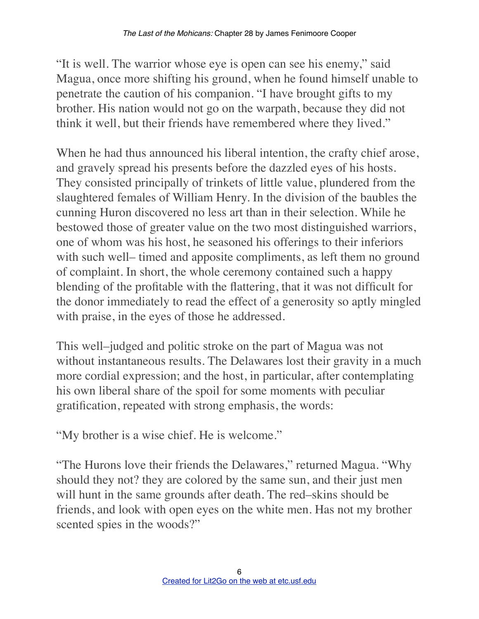"It is well. The warrior whose eye is open can see his enemy," said Magua, once more shifting his ground, when he found himself unable to penetrate the caution of his companion. "I have brought gifts to my brother. His nation would not go on the warpath, because they did not think it well, but their friends have remembered where they lived."

When he had thus announced his liberal intention, the crafty chief arose, and gravely spread his presents before the dazzled eyes of his hosts. They consisted principally of trinkets of little value, plundered from the slaughtered females of William Henry. In the division of the baubles the cunning Huron discovered no less art than in their selection. While he bestowed those of greater value on the two most distinguished warriors, one of whom was his host, he seasoned his offerings to their inferiors with such well– timed and apposite compliments, as left them no ground of complaint. In short, the whole ceremony contained such a happy blending of the profitable with the flattering, that it was not difficult for the donor immediately to read the effect of a generosity so aptly mingled with praise, in the eyes of those he addressed.

This well–judged and politic stroke on the part of Magua was not without instantaneous results. The Delawares lost their gravity in a much more cordial expression; and the host, in particular, after contemplating his own liberal share of the spoil for some moments with peculiar gratification, repeated with strong emphasis, the words:

"My brother is a wise chief. He is welcome."

"The Hurons love their friends the Delawares," returned Magua. "Why should they not? they are colored by the same sun, and their just men will hunt in the same grounds after death. The red–skins should be friends, and look with open eyes on the white men. Has not my brother scented spies in the woods?"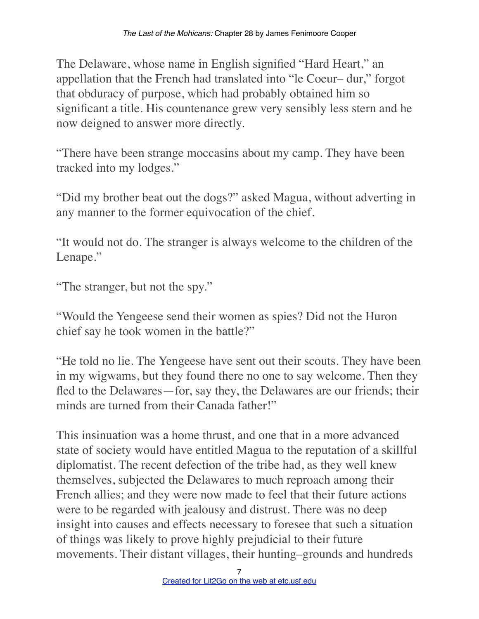The Delaware, whose name in English signified "Hard Heart," an appellation that the French had translated into "le Coeur– dur," forgot that obduracy of purpose, which had probably obtained him so significant a title. His countenance grew very sensibly less stern and he now deigned to answer more directly.

"There have been strange moccasins about my camp. They have been tracked into my lodges."

"Did my brother beat out the dogs?" asked Magua, without adverting in any manner to the former equivocation of the chief.

"It would not do. The stranger is always welcome to the children of the Lenape."

"The stranger, but not the spy."

"Would the Yengeese send their women as spies? Did not the Huron chief say he took women in the battle?"

"He told no lie. The Yengeese have sent out their scouts. They have been in my wigwams, but they found there no one to say welcome. Then they fled to the Delawares—for, say they, the Delawares are our friends; their minds are turned from their Canada father!"

This insinuation was a home thrust, and one that in a more advanced state of society would have entitled Magua to the reputation of a skillful diplomatist. The recent defection of the tribe had, as they well knew themselves, subjected the Delawares to much reproach among their French allies; and they were now made to feel that their future actions were to be regarded with jealousy and distrust. There was no deep insight into causes and effects necessary to foresee that such a situation of things was likely to prove highly prejudicial to their future movements. Their distant villages, their hunting–grounds and hundreds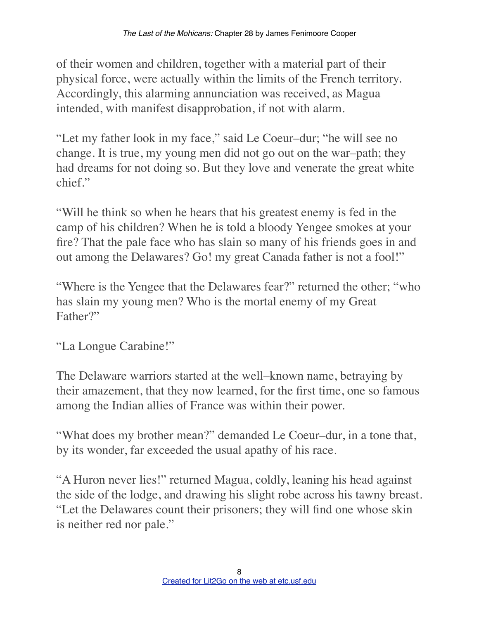of their women and children, together with a material part of their physical force, were actually within the limits of the French territory. Accordingly, this alarming annunciation was received, as Magua intended, with manifest disapprobation, if not with alarm.

"Let my father look in my face," said Le Coeur–dur; "he will see no change. It is true, my young men did not go out on the war–path; they had dreams for not doing so. But they love and venerate the great white chief."

"Will he think so when he hears that his greatest enemy is fed in the camp of his children? When he is told a bloody Yengee smokes at your fire? That the pale face who has slain so many of his friends goes in and out among the Delawares? Go! my great Canada father is not a fool!"

"Where is the Yengee that the Delawares fear?" returned the other; "who has slain my young men? Who is the mortal enemy of my Great Father?"

"La Longue Carabine!"

The Delaware warriors started at the well–known name, betraying by their amazement, that they now learned, for the first time, one so famous among the Indian allies of France was within their power.

"What does my brother mean?" demanded Le Coeur–dur, in a tone that, by its wonder, far exceeded the usual apathy of his race.

"A Huron never lies!" returned Magua, coldly, leaning his head against the side of the lodge, and drawing his slight robe across his tawny breast. "Let the Delawares count their prisoners; they will find one whose skin is neither red nor pale."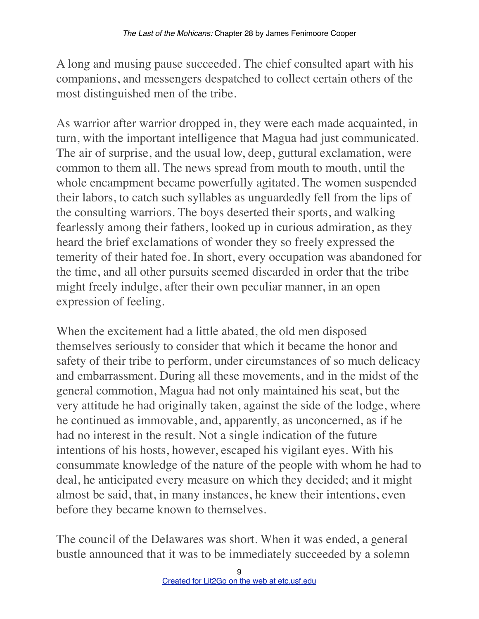A long and musing pause succeeded. The chief consulted apart with his companions, and messengers despatched to collect certain others of the most distinguished men of the tribe.

As warrior after warrior dropped in, they were each made acquainted, in turn, with the important intelligence that Magua had just communicated. The air of surprise, and the usual low, deep, guttural exclamation, were common to them all. The news spread from mouth to mouth, until the whole encampment became powerfully agitated. The women suspended their labors, to catch such syllables as unguardedly fell from the lips of the consulting warriors. The boys deserted their sports, and walking fearlessly among their fathers, looked up in curious admiration, as they heard the brief exclamations of wonder they so freely expressed the temerity of their hated foe. In short, every occupation was abandoned for the time, and all other pursuits seemed discarded in order that the tribe might freely indulge, after their own peculiar manner, in an open expression of feeling.

When the excitement had a little abated, the old men disposed themselves seriously to consider that which it became the honor and safety of their tribe to perform, under circumstances of so much delicacy and embarrassment. During all these movements, and in the midst of the general commotion, Magua had not only maintained his seat, but the very attitude he had originally taken, against the side of the lodge, where he continued as immovable, and, apparently, as unconcerned, as if he had no interest in the result. Not a single indication of the future intentions of his hosts, however, escaped his vigilant eyes. With his consummate knowledge of the nature of the people with whom he had to deal, he anticipated every measure on which they decided; and it might almost be said, that, in many instances, he knew their intentions, even before they became known to themselves.

The council of the Delawares was short. When it was ended, a general bustle announced that it was to be immediately succeeded by a solemn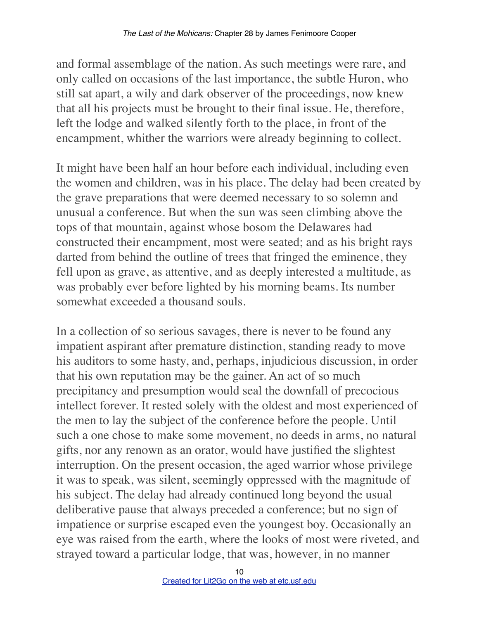and formal assemblage of the nation. As such meetings were rare, and only called on occasions of the last importance, the subtle Huron, who still sat apart, a wily and dark observer of the proceedings, now knew that all his projects must be brought to their final issue. He, therefore, left the lodge and walked silently forth to the place, in front of the encampment, whither the warriors were already beginning to collect.

It might have been half an hour before each individual, including even the women and children, was in his place. The delay had been created by the grave preparations that were deemed necessary to so solemn and unusual a conference. But when the sun was seen climbing above the tops of that mountain, against whose bosom the Delawares had constructed their encampment, most were seated; and as his bright rays darted from behind the outline of trees that fringed the eminence, they fell upon as grave, as attentive, and as deeply interested a multitude, as was probably ever before lighted by his morning beams. Its number somewhat exceeded a thousand souls.

In a collection of so serious savages, there is never to be found any impatient aspirant after premature distinction, standing ready to move his auditors to some hasty, and, perhaps, injudicious discussion, in order that his own reputation may be the gainer. An act of so much precipitancy and presumption would seal the downfall of precocious intellect forever. It rested solely with the oldest and most experienced of the men to lay the subject of the conference before the people. Until such a one chose to make some movement, no deeds in arms, no natural gifts, nor any renown as an orator, would have justified the slightest interruption. On the present occasion, the aged warrior whose privilege it was to speak, was silent, seemingly oppressed with the magnitude of his subject. The delay had already continued long beyond the usual deliberative pause that always preceded a conference; but no sign of impatience or surprise escaped even the youngest boy. Occasionally an eye was raised from the earth, where the looks of most were riveted, and strayed toward a particular lodge, that was, however, in no manner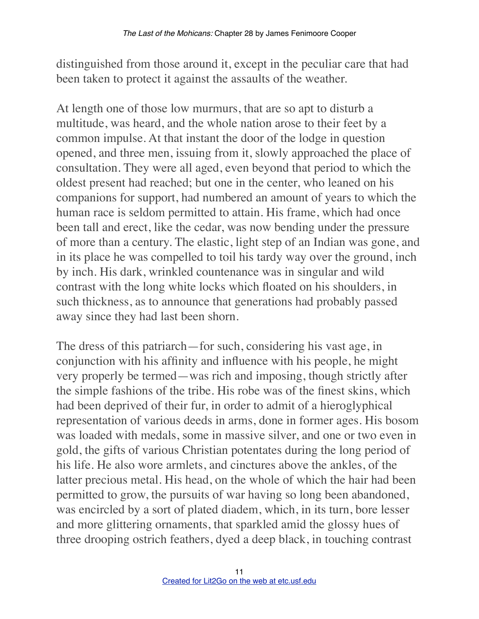distinguished from those around it, except in the peculiar care that had been taken to protect it against the assaults of the weather.

At length one of those low murmurs, that are so apt to disturb a multitude, was heard, and the whole nation arose to their feet by a common impulse. At that instant the door of the lodge in question opened, and three men, issuing from it, slowly approached the place of consultation. They were all aged, even beyond that period to which the oldest present had reached; but one in the center, who leaned on his companions for support, had numbered an amount of years to which the human race is seldom permitted to attain. His frame, which had once been tall and erect, like the cedar, was now bending under the pressure of more than a century. The elastic, light step of an Indian was gone, and in its place he was compelled to toil his tardy way over the ground, inch by inch. His dark, wrinkled countenance was in singular and wild contrast with the long white locks which floated on his shoulders, in such thickness, as to announce that generations had probably passed away since they had last been shorn.

The dress of this patriarch—for such, considering his vast age, in conjunction with his affinity and influence with his people, he might very properly be termed—was rich and imposing, though strictly after the simple fashions of the tribe. His robe was of the finest skins, which had been deprived of their fur, in order to admit of a hieroglyphical representation of various deeds in arms, done in former ages. His bosom was loaded with medals, some in massive silver, and one or two even in gold, the gifts of various Christian potentates during the long period of his life. He also wore armlets, and cinctures above the ankles, of the latter precious metal. His head, on the whole of which the hair had been permitted to grow, the pursuits of war having so long been abandoned, was encircled by a sort of plated diadem, which, in its turn, bore lesser and more glittering ornaments, that sparkled amid the glossy hues of three drooping ostrich feathers, dyed a deep black, in touching contrast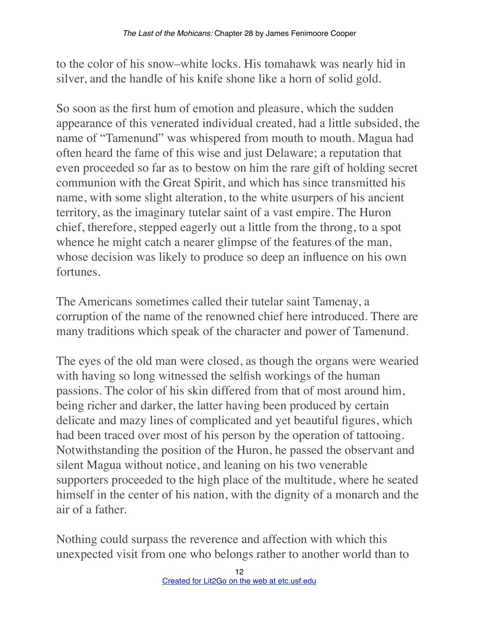to the color of his snow–white locks. His tomahawk was nearly hid in silver, and the handle of his knife shone like a horn of solid gold.

So soon as the first hum of emotion and pleasure, which the sudden appearance of this venerated individual created, had a little subsided, the name of "Tamenund" was whispered from mouth to mouth. Magua had often heard the fame of this wise and just Delaware; a reputation that even proceeded so far as to bestow on him the rare gift of holding secret communion with the Great Spirit, and which has since transmitted his name, with some slight alteration, to the white usurpers of his ancient territory, as the imaginary tutelar saint of a vast empire. The Huron chief, therefore, stepped eagerly out a little from the throng, to a spot whence he might catch a nearer glimpse of the features of the man, whose decision was likely to produce so deep an influence on his own fortunes.

The Americans sometimes called their tutelar saint Tamenay, a corruption of the name of the renowned chief here introduced. There are many traditions which speak of the character and power of Tamenund.

The eyes of the old man were closed, as though the organs were wearied with having so long witnessed the selfish workings of the human passions. The color of his skin differed from that of most around him, being richer and darker, the latter having been produced by certain delicate and mazy lines of complicated and yet beautiful figures, which had been traced over most of his person by the operation of tattooing. Notwithstanding the position of the Huron, he passed the observant and silent Magua without notice, and leaning on his two venerable supporters proceeded to the high place of the multitude, where he seated himself in the center of his nation, with the dignity of a monarch and the air of a father.

Nothing could surpass the reverence and affection with which this unexpected visit from one who belongs rather to another world than to